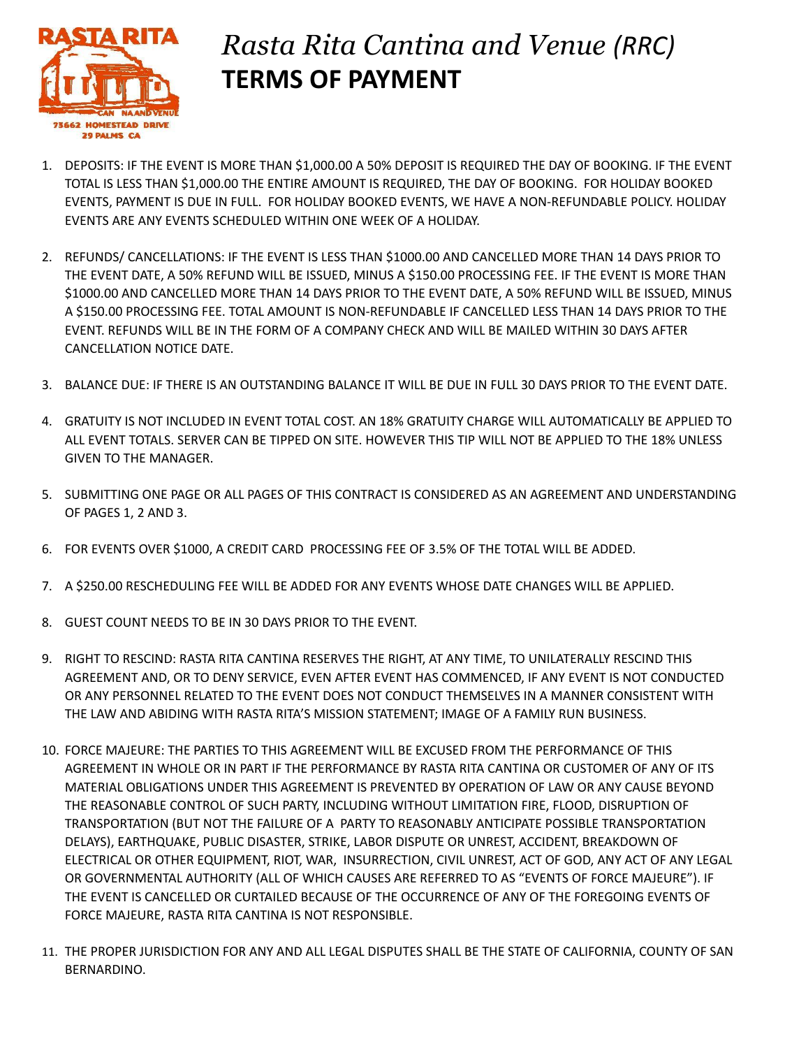

## *Rasta Rita Cantina and Venue (RRC)* **TERMS OF PAYMENT**

- 1. DEPOSITS: IF THE EVENT IS MORE THAN \$1,000.00 A 50% DEPOSIT IS REQUIRED THE DAY OF BOOKING. IF THE EVENT TOTAL IS LESS THAN \$1,000.00 THE ENTIRE AMOUNT IS REQUIRED, THE DAY OF BOOKING. FOR HOLIDAY BOOKED EVENTS, PAYMENT IS DUE IN FULL. FOR HOLIDAY BOOKED EVENTS, WE HAVE A NON-REFUNDABLE POLICY. HOLIDAY EVENTS ARE ANY EVENTS SCHEDULED WITHIN ONE WEEK OF A HOLIDAY.
- 2. REFUNDS/ CANCELLATIONS: IF THE EVENT IS LESS THAN \$1000.00 AND CANCELLED MORE THAN 14 DAYS PRIOR TO THE EVENT DATE, A 50% REFUND WILL BE ISSUED, MINUS A \$150.00 PROCESSING FEE. IF THE EVENT IS MORE THAN \$1000.00 AND CANCELLED MORE THAN 14 DAYS PRIOR TO THE EVENT DATE, A 50% REFUND WILL BE ISSUED, MINUS A \$150.00 PROCESSING FEE. TOTAL AMOUNT IS NON-REFUNDABLE IF CANCELLED LESS THAN 14 DAYS PRIOR TO THE EVENT. REFUNDS WILL BE IN THE FORM OF A COMPANY CHECK AND WILL BE MAILED WITHIN 30 DAYS AFTER CANCELLATION NOTICE DATE.
- 3. BALANCE DUE: IF THERE IS AN OUTSTANDING BALANCE IT WILL BE DUE IN FULL 30 DAYS PRIOR TO THE EVENT DATE.
- 4. GRATUITY IS NOT INCLUDED IN EVENT TOTAL COST. AN 18% GRATUITY CHARGE WILL AUTOMATICALLY BE APPLIED TO ALL EVENT TOTALS. SERVER CAN BE TIPPED ON SITE. HOWEVER THIS TIP WILL NOT BE APPLIED TO THE 18% UNLESS GIVEN TO THE MANAGER.
- 5. SUBMITTING ONE PAGE OR ALL PAGES OF THIS CONTRACT IS CONSIDERED AS AN AGREEMENT AND UNDERSTANDING OF PAGES 1, 2 AND 3.
- 6. FOR EVENTS OVER \$1000, A CREDIT CARD PROCESSING FEE OF 3.5% OF THE TOTAL WILL BE ADDED.
- 7. A \$250.00 RESCHEDULING FEE WILL BE ADDED FOR ANY EVENTS WHOSE DATE CHANGES WILL BE APPLIED.
- 8. GUEST COUNT NEEDS TO BE IN 30 DAYS PRIOR TO THE EVENT.
- 9. RIGHT TO RESCIND: RASTA RITA CANTINA RESERVES THE RIGHT, AT ANY TIME, TO UNILATERALLY RESCIND THIS AGREEMENT AND, OR TO DENY SERVICE, EVEN AFTER EVENT HAS COMMENCED, IF ANY EVENT IS NOT CONDUCTED OR ANY PERSONNEL RELATED TO THE EVENT DOES NOT CONDUCT THEMSELVES IN A MANNER CONSISTENT WITH THE LAW AND ABIDING WITH RASTA RITA'S MISSION STATEMENT; IMAGE OF A FAMILY RUN BUSINESS.
- 10. FORCE MAJEURE: THE PARTIES TO THIS AGREEMENT WILL BE EXCUSED FROM THE PERFORMANCE OF THIS AGREEMENT IN WHOLE OR IN PART IF THE PERFORMANCE BY RASTA RITA CANTINA OR CUSTOMER OF ANY OF ITS MATERIAL OBLIGATIONS UNDER THIS AGREEMENT IS PREVENTED BY OPERATION OF LAW OR ANY CAUSE BEYOND THE REASONABLE CONTROL OF SUCH PARTY, INCLUDING WITHOUT LIMITATION FIRE, FLOOD, DISRUPTION OF TRANSPORTATION (BUT NOT THE FAILURE OF A PARTY TO REASONABLY ANTICIPATE POSSIBLE TRANSPORTATION DELAYS), EARTHQUAKE, PUBLIC DISASTER, STRIKE, LABOR DISPUTE OR UNREST, ACCIDENT, BREAKDOWN OF ELECTRICAL OR OTHER EQUIPMENT, RIOT, WAR, INSURRECTION, CIVIL UNREST, ACT OF GOD, ANY ACT OF ANY LEGAL OR GOVERNMENTAL AUTHORITY (ALL OF WHICH CAUSES ARE REFERRED TO AS "EVENTS OF FORCE MAJEURE"). IF THE EVENT IS CANCELLED OR CURTAILED BECAUSE OF THE OCCURRENCE OF ANY OF THE FOREGOING EVENTS OF FORCE MAJEURE, RASTA RITA CANTINA IS NOT RESPONSIBLE.
- 11. THE PROPER JURISDICTION FOR ANY AND ALL LEGAL DISPUTES SHALL BE THE STATE OF CALIFORNIA, COUNTY OF SAN BERNARDINO.